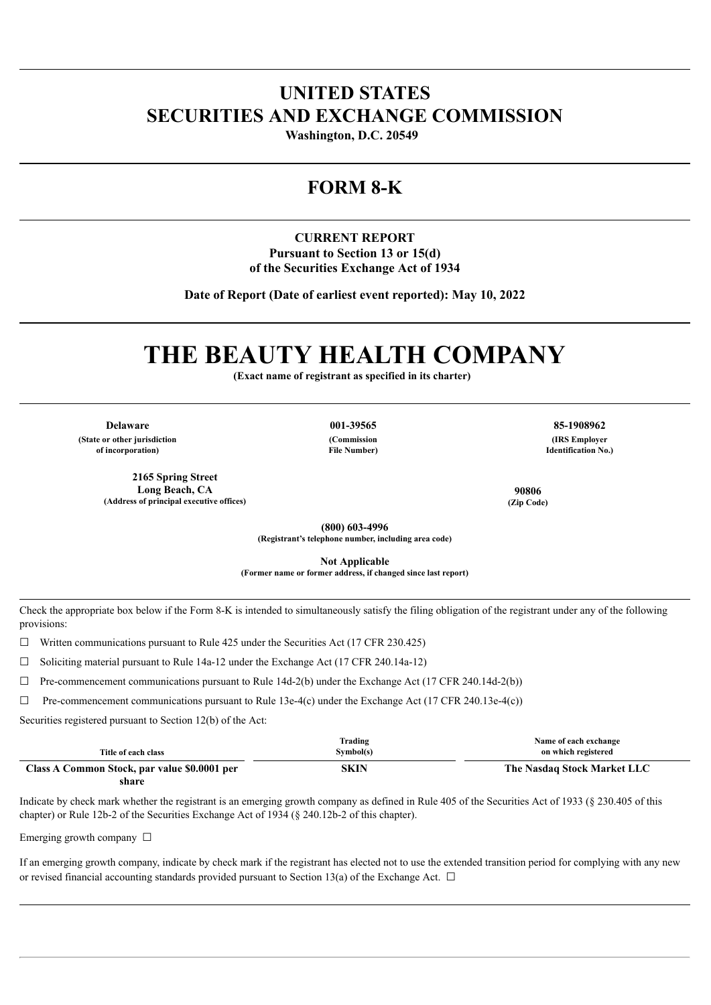# **UNITED STATES SECURITIES AND EXCHANGE COMMISSION**

**Washington, D.C. 20549** 

# **FORM 8-K**

## **CURRENT REPORT Pursuant to Section 13 or 15(d) of the Securities Exchange Act of 1934**

**Date of Report (Date of earliest event reported): May 10, 2022**

# **THE BEAUTY HEALTH COMPANY**

**(Exact name of registrant as specified in its charter)**

**Delaware 001-39565 85-1908962**

**(State or other jurisdiction of incorporation)**

> **2165 Spring Street Long Beach, CA (Address of principal executive offices)**

**(Commission**

**File Number)**

**(IRS Employer Identification No.)**

**90806 (Zip Code)**

**(800) 603-4996 (Registrant's telephone number, including area code)**

**Not Applicable (Former name or former address, if changed since last report)**

Check the appropriate box below if the Form 8-K is intended to simultaneously satisfy the filing obligation of the registrant under any of the following provisions:

 $\Box$  Written communications pursuant to Rule 425 under the Securities Act (17 CFR 230.425)

 $\Box$  Soliciting material pursuant to Rule 14a-12 under the Exchange Act (17 CFR 240.14a-12)

 $\Box$  Pre-commencement communications pursuant to Rule 14d-2(b) under the Exchange Act (17 CFR 240.14d-2(b))

 $\Box$  Pre-commencement communications pursuant to Rule 13e-4(c) under the Exchange Act (17 CFR 240.13e-4(c))

Securities registered pursuant to Section 12(b) of the Act:

| Title of each class                          | Trading<br>Symbol(s) | Name of each exchange<br>on which registered |
|----------------------------------------------|----------------------|----------------------------------------------|
| Class A Common Stock, par value \$0.0001 per | SKIN                 | The Nasdaq Stock Market LLC                  |
| share                                        |                      |                                              |

Indicate by check mark whether the registrant is an emerging growth company as defined in Rule 405 of the Securities Act of 1933 (§ 230.405 of this chapter) or Rule 12b-2 of the Securities Exchange Act of 1934 (§ 240.12b-2 of this chapter).

Emerging growth company  $\Box$ 

If an emerging growth company, indicate by check mark if the registrant has elected not to use the extended transition period for complying with any new or revised financial accounting standards provided pursuant to Section 13(a) of the Exchange Act.  $\Box$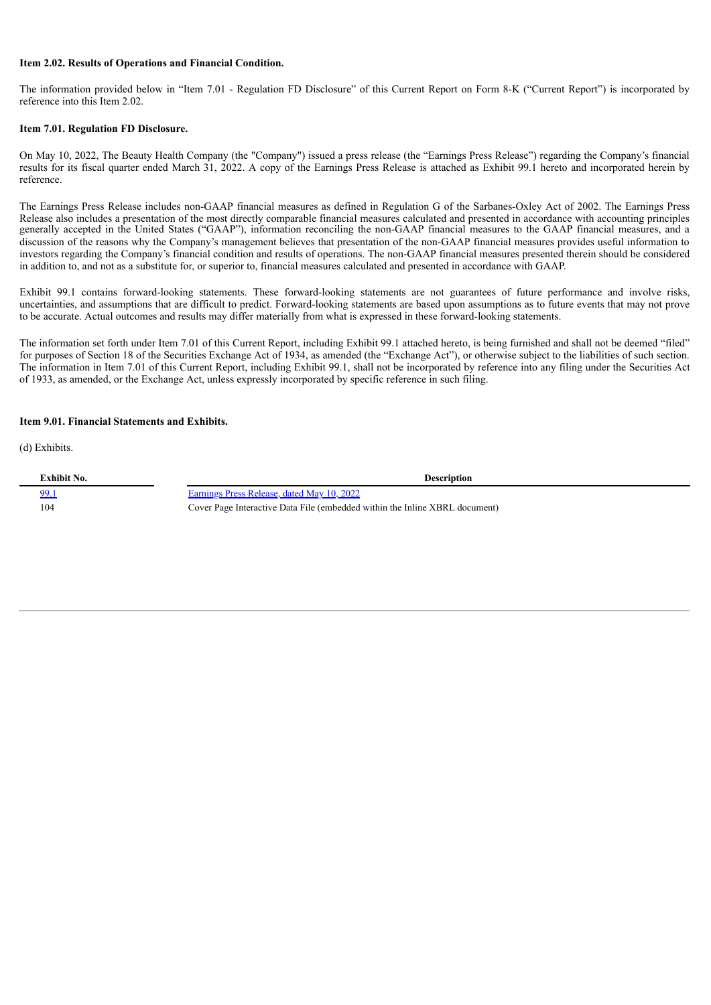#### **Item 2.02. Results of Operations and Financial Condition.**

The information provided below in "Item 7.01 - Regulation FD Disclosure" of this Current Report on Form 8-K ("Current Report") is incorporated by reference into this Item 2.02.

#### **Item 7.01. Regulation FD Disclosure.**

On May 10, 2022, The Beauty Health Company (the "Company") issued a press release (the "Earnings Press Release") regarding the Company's financial results for its fiscal quarter ended March 31, 2022. A copy of the Earnings Press Release is attached as Exhibit 99.1 hereto and incorporated herein by reference.

The Earnings Press Release includes non-GAAP financial measures as defined in Regulation G of the Sarbanes-Oxley Act of 2002. The Earnings Press Release also includes a presentation of the most directly comparable financial measures calculated and presented in accordance with accounting principles generally accepted in the United States ("GAAP"), information reconciling the non-GAAP financial measures to the GAAP financial measures, and a discussion of the reasons why the Company's management believes that presentation of the non-GAAP financial measures provides useful information to investors regarding the Company's financial condition and results of operations. The non-GAAP financial measures presented therein should be considered in addition to, and not as a substitute for, or superior to, financial measures calculated and presented in accordance with GAAP.

Exhibit 99.1 contains forward-looking statements. These forward-looking statements are not guarantees of future performance and involve risks, uncertainties, and assumptions that are difficult to predict. Forward-looking statements are based upon assumptions as to future events that may not prove to be accurate. Actual outcomes and results may differ materially from what is expressed in these forward-looking statements.

The information set forth under Item 7.01 of this Current Report, including Exhibit 99.1 attached hereto, is being furnished and shall not be deemed "filed" for purposes of Section 18 of the Securities Exchange Act of 1934, as amended (the "Exchange Act"), or otherwise subject to the liabilities of such section. The information in Item 7.01 of this Current Report, including Exhibit 99.1, shall not be incorporated by reference into any filing under the Securities Act of 1933, as amended, or the Exchange Act, unless expressly incorporated by specific reference in such filing.

#### **Item 9.01. Financial Statements and Exhibits.**

(d) Exhibits.

| Exhibit No. | <b>Description</b>                                                          |
|-------------|-----------------------------------------------------------------------------|
| <u>99.1</u> | Earnings Press Release, dated May 10, 2022                                  |
| 104         | Cover Page Interactive Data File (embedded within the Inline XBRL document) |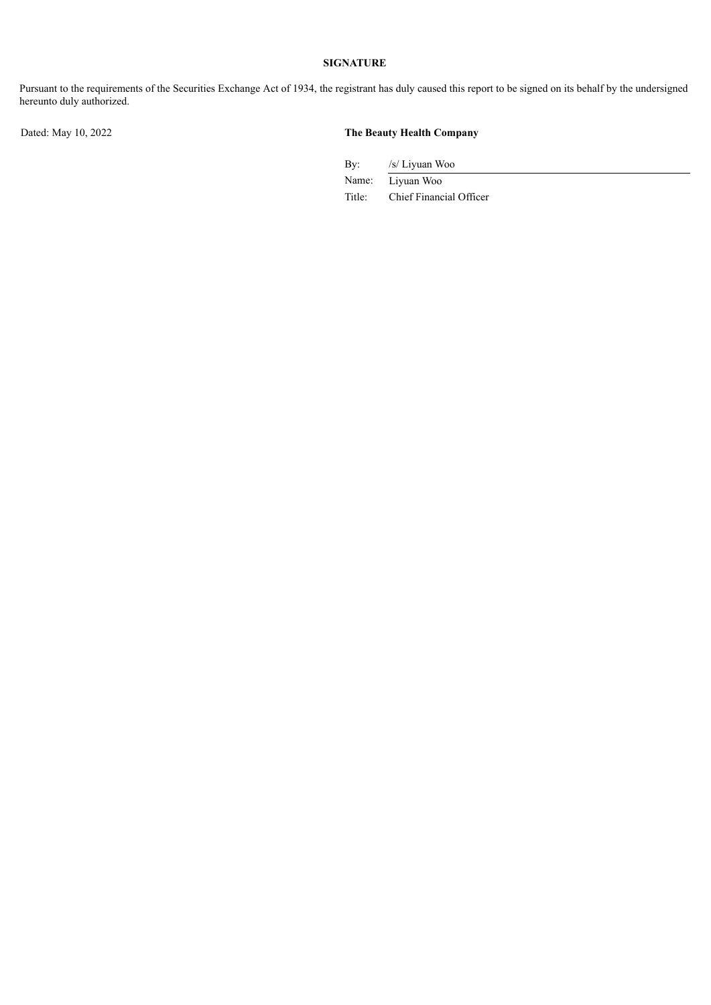# **SIGNATURE**

Pursuant to the requirements of the Securities Exchange Act of 1934, the registrant has duly caused this report to be signed on its behalf by the undersigned hereunto duly authorized.

### Dated: May 10, 2022 **The Beauty Health Company**

By: /s/ Liyuan Woo

Name: Liyuan Woo Title: Chief Financial Officer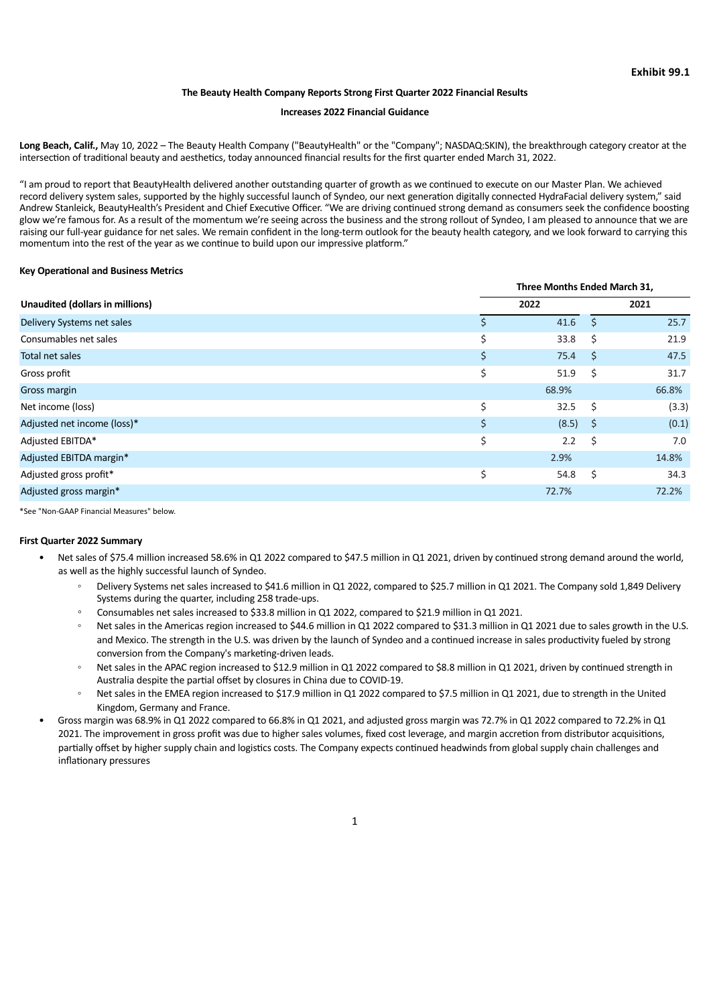#### **The Beauty Health Company Reports Strong First Quarter 2022 Financial Results**

#### **Increases 2022 Financial Guidance**

<span id="page-3-0"></span>**Long Beach, Calif.,** May 10, 2022 – The Beauty Health Company ("BeautyHealth" or the "Company"; NASDAQ:SKIN), the breakthrough category creator at the intersection of traditional beauty and aesthetics, today announced financial results for the first quarter ended March 31, 2022.

"I am proud to report that BeautyHealth delivered another outstanding quarter of growth as we continued to execute on our Master Plan. We achieved record delivery system sales, supported by the highly successful launch of Syndeo, our next generation digitally connected HydraFacial delivery system," said Andrew Stanleick, BeautyHealth's President and Chief Executive Officer. "We are driving continued strong demand as consumers seek the confidence boosting glow we're famous for. As a result of the momentum we're seeing across the business and the strong rollout of Syndeo, I am pleased to announce that we are raising our full-year guidance for net sales. We remain confident in the long-term outlook for the beauty health category, and we look forward to carrying this momentum into the rest of the year as we continue to build upon our impressive platform."

#### **Key Operational and Business Metrics**

| Unaudited (dollars in millions) |    | Three Months Ended March 31, |      |       |  |
|---------------------------------|----|------------------------------|------|-------|--|
|                                 |    | 2022                         |      | 2021  |  |
| Delivery Systems net sales      |    | 41.6                         | Ŝ.   | 25.7  |  |
| Consumables net sales           | Ś. | 33.8                         | Ŝ.   | 21.9  |  |
| Total net sales                 | \$ | 75.4                         | - \$ | 47.5  |  |
| Gross profit                    | \$ | 51.9                         | \$   | 31.7  |  |
| Gross margin                    |    | 68.9%                        |      | 66.8% |  |
| Net income (loss)               | \$ | 32.5                         | - \$ | (3.3) |  |
| Adjusted net income (loss)*     | \$ | $(8.5)$ \$                   |      | (0.1) |  |
| Adjusted EBITDA*                | \$ | 2.2                          | - \$ | 7.0   |  |
| Adjusted EBITDA margin*         |    | 2.9%                         |      | 14.8% |  |
| Adjusted gross profit*          | \$ | 54.8                         | \$   | 34.3  |  |
| Adjusted gross margin*          |    | 72.7%                        |      | 72.2% |  |
|                                 |    |                              |      |       |  |

\*See "Non-GAAP Financial Measures" below.

#### **First Quarter 2022 Summary**

- Net sales of \$75.4 million increased 58.6% in Q1 2022 compared to \$47.5 million in Q1 2021, driven by continued strong demand around the world, as well as the highly successful launch of Syndeo.
	- Delivery Systems net sales increased to \$41.6 million in Q1 2022, compared to \$25.7 million in Q1 2021. The Company sold 1,849 Delivery Systems during the quarter, including 258 trade-ups.
	- Consumables net sales increased to \$33.8 million in Q1 2022, compared to \$21.9 million in Q1 2021.
	- Net sales in the Americas region increased to \$44.6 million in Q1 2022 compared to \$31.3 million in Q1 2021 due to sales growth in the U.S. and Mexico. The strength in the U.S. was driven by the launch of Syndeo and a continued increase in sales productivity fueled by strong conversion from the Company's marketing-driven leads.
	- Net sales in the APAC region increased to \$12.9 million in Q1 2022 compared to \$8.8 million in Q1 2021, driven by continued strength in Australia despite the partial offset by closures in China due to COVID-19.
	- Net sales in the EMEA region increased to \$17.9 million in Q1 2022 compared to \$7.5 million in Q1 2021, due to strength in the United Kingdom, Germany and France.
- Gross margin was 68.9% in Q1 2022 compared to 66.8% in Q1 2021, and adjusted gross margin was 72.7% in Q1 2022 compared to 72.2% in Q1 2021. The improvement in gross profit was due to higher sales volumes, fixed cost leverage, and margin accretion from distributor acquisitions, partially offset by higher supply chain and logistics costs. The Company expects continued headwinds from global supply chain challenges and inflationary pressures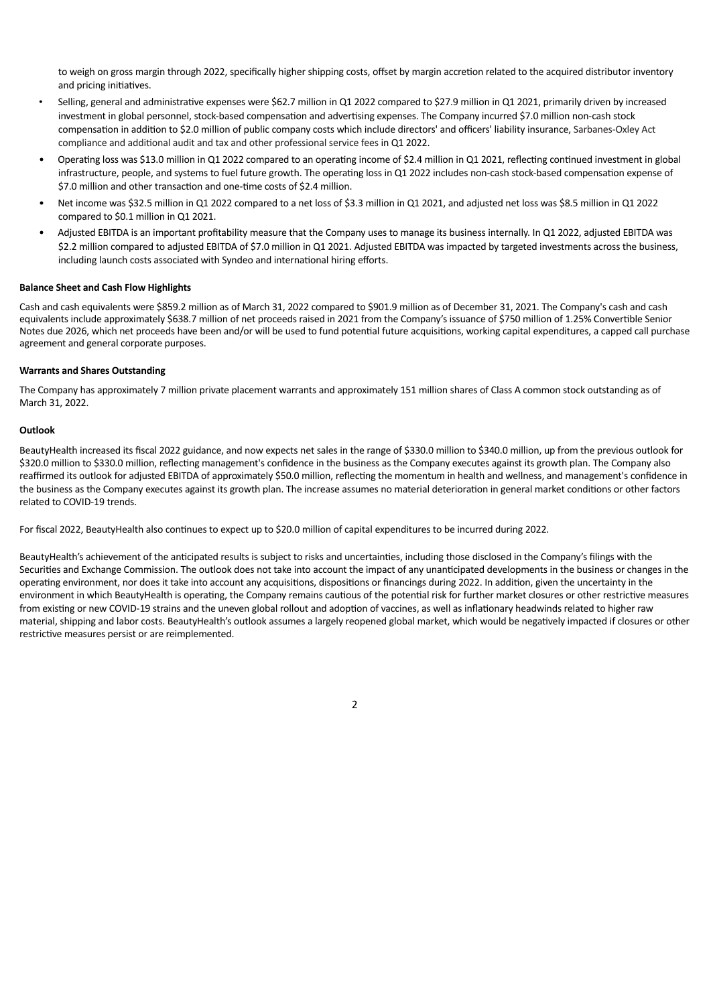to weigh on gross margin through 2022, specifically higher shipping costs, offset by margin accretion related to the acquired distributor inventory and pricing initiatives.

- Selling, general and administrative expenses were \$62.7 million in Q1 2022 compared to \$27.9 million in Q1 2021, primarily driven by increased investment in global personnel, stock-based compensation and advertising expenses. The Company incurred \$7.0 million non-cash stock compensation in addition to \$2.0 million of public company costs which include directors' and officers' liability insurance, Sarbanes-Oxley Act compliance and additional audit and tax and other professional service fees in Q1 2022.
- Operating loss was \$13.0 million in Q1 2022 compared to an operating income of \$2.4 million in Q1 2021, reflecting continued investment in global infrastructure, people, and systems to fuel future growth. The operating loss in Q1 2022 includes non-cash stock-based compensation expense of \$7.0 million and other transaction and one-time costs of \$2.4 million.
- Net income was \$32.5 million in Q1 2022 compared to a net loss of \$3.3 million in Q1 2021, and adjusted net loss was \$8.5 million in Q1 2022 compared to \$0.1 million in Q1 2021.
- Adjusted EBITDA is an important profitability measure that the Company uses to manage its business internally. In Q1 2022, adjusted EBITDA was \$2.2 million compared to adjusted EBITDA of \$7.0 million in Q1 2021. Adjusted EBITDA was impacted by targeted investments across the business, including launch costs associated with Syndeo and international hiring efforts.

#### **Balance Sheet and Cash Flow Highlights**

Cash and cash equivalents were \$859.2 million as of March 31, 2022 compared to \$901.9 million as of December 31, 2021. The Company's cash and cash equivalents include approximately \$638.7 million of net proceeds raised in 2021 from the Company's issuance of \$750 million of 1.25% Convertible Senior Notes due 2026, which net proceeds have been and/or will be used to fund potential future acquisitions, working capital expenditures, a capped call purchase agreement and general corporate purposes.

#### **Warrants and Shares Outstanding**

The Company has approximately 7 million private placement warrants and approximately 151 million shares of Class A common stock outstanding as of March 31, 2022.

#### **Outlook**

BeautyHealth increased its fiscal 2022 guidance, and now expects net sales in the range of \$330.0 million to \$340.0 million, up from the previous outlook for \$320.0 million to \$330.0 million, reflecting management's confidence in the business as the Company executes against its growth plan. The Company also reaffirmed its outlook for adjusted EBITDA of approximately \$50.0 million, reflecting the momentum in health and wellness, and management's confidence in the business as the Company executes against its growth plan. The increase assumes no material deterioration in general market conditions or other factors related to COVID-19 trends.

For fiscal 2022, BeautyHealth also continues to expect up to \$20.0 million of capital expenditures to be incurred during 2022.

BeautyHealth's achievement of the anticipated results is subject to risks and uncertainties, including those disclosed in the Company's filings with the Securities and Exchange Commission. The outlook does not take into account the impact of any unanticipated developments in the business or changes in the operating environment, nor does it take into account any acquisitions, dispositions or financings during 2022. In addition, given the uncertainty in the environment in which BeautyHealth is operating, the Company remains cautious of the potential risk for further market closures or other restrictive measures from existing or new COVID-19 strains and the uneven global rollout and adoption of vaccines, as well as inflationary headwinds related to higher raw material, shipping and labor costs. BeautyHealth's outlook assumes a largely reopened global market, which would be negatively impacted if closures or other restrictive measures persist or are reimplemented.

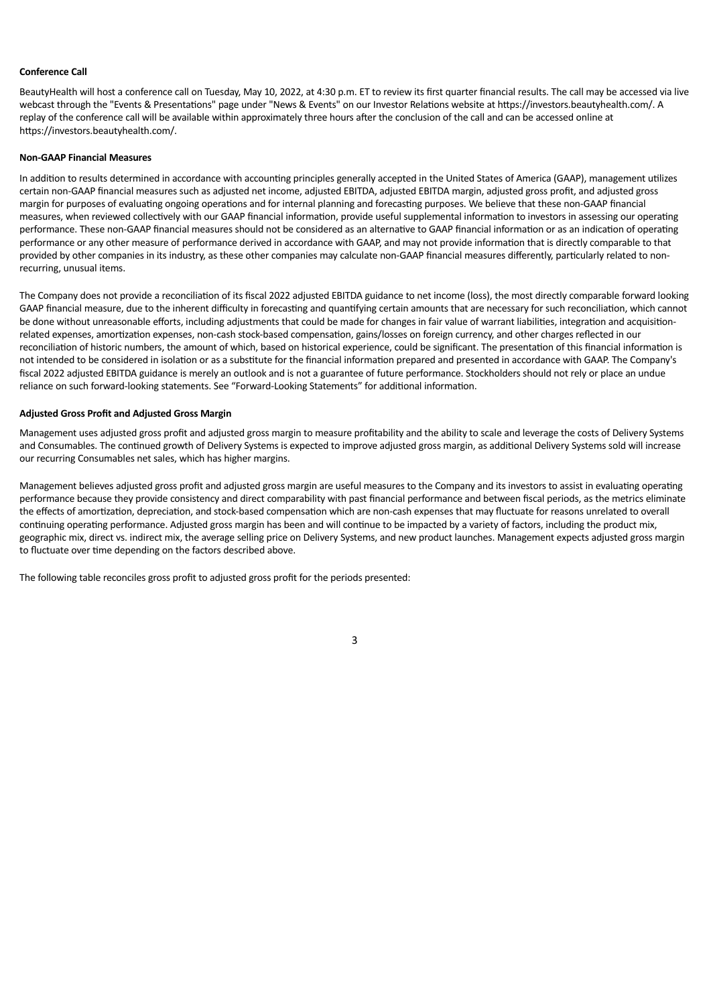#### **Conference Call**

BeautyHealth will host a conference call on Tuesday, May 10, 2022, at 4:30 p.m. ET to review its first quarter financial results. The call may be accessed via live webcast through the "Events & Presentations" page under "News & Events" on our Investor Relations website at https://investors.beautyhealth.com/. A replay of the conference call will be available within approximately three hours after the conclusion of the call and can be accessed online at https://investors.beautyhealth.com/.

#### **Non-GAAP Financial Measures**

In addition to results determined in accordance with accounting principles generally accepted in the United States of America (GAAP), management utilizes certain non-GAAP financial measures such as adjusted net income, adjusted EBITDA, adjusted EBITDA margin, adjusted gross profit, and adjusted gross margin for purposes of evaluating ongoing operations and for internal planning and forecasting purposes. We believe that these non-GAAP financial measures, when reviewed collectively with our GAAP financial information, provide useful supplemental information to investors in assessing our operating performance. These non-GAAP financial measures should not be considered as an alternative to GAAP financial information or as an indication of operating performance or any other measure of performance derived in accordance with GAAP, and may not provide information that is directly comparable to that provided by other companies in its industry, as these other companies may calculate non-GAAP financial measures differently, particularly related to nonrecurring, unusual items.

The Company does not provide a reconciliation of its fiscal 2022 adjusted EBITDA guidance to net income (loss), the most directly comparable forward looking GAAP financial measure, due to the inherent difficulty in forecasting and quantifying certain amounts that are necessary for such reconciliation, which cannot be done without unreasonable efforts, including adjustments that could be made for changes in fair value of warrant liabilities, integration and acquisitionrelated expenses, amortization expenses, non-cash stock-based compensation, gains/losses on foreign currency, and other charges reflected in our reconciliation of historic numbers, the amount of which, based on historical experience, could be significant. The presentation of this financial information is not intended to be considered in isolation or as a substitute for the financial information prepared and presented in accordance with GAAP. The Company's fiscal 2022 adjusted EBITDA guidance is merely an outlook and is not a guarantee of future performance. Stockholders should not rely or place an undue reliance on such forward-looking statements. See "Forward-Looking Statements" for additional information.

#### **Adjusted Gross Profit and Adjusted Gross Margin**

Management uses adjusted gross profit and adjusted gross margin to measure profitability and the ability to scale and leverage the costs of Delivery Systems and Consumables. The continued growth of Delivery Systems is expected to improve adjusted gross margin, as additional Delivery Systems sold will increase our recurring Consumables net sales, which has higher margins.

Management believes adjusted gross profit and adjusted gross margin are useful measures to the Company and its investors to assist in evaluating operating performance because they provide consistency and direct comparability with past financial performance and between fiscal periods, as the metrics eliminate the effects of amortization, depreciation, and stock-based compensation which are non-cash expenses that may fluctuate for reasons unrelated to overall continuing operating performance. Adjusted gross margin has been and will continue to be impacted by a variety of factors, including the product mix, geographic mix, direct vs. indirect mix, the average selling price on Delivery Systems, and new product launches. Management expects adjusted gross margin to fluctuate over time depending on the factors described above.

The following table reconciles gross profit to adjusted gross profit for the periods presented:

3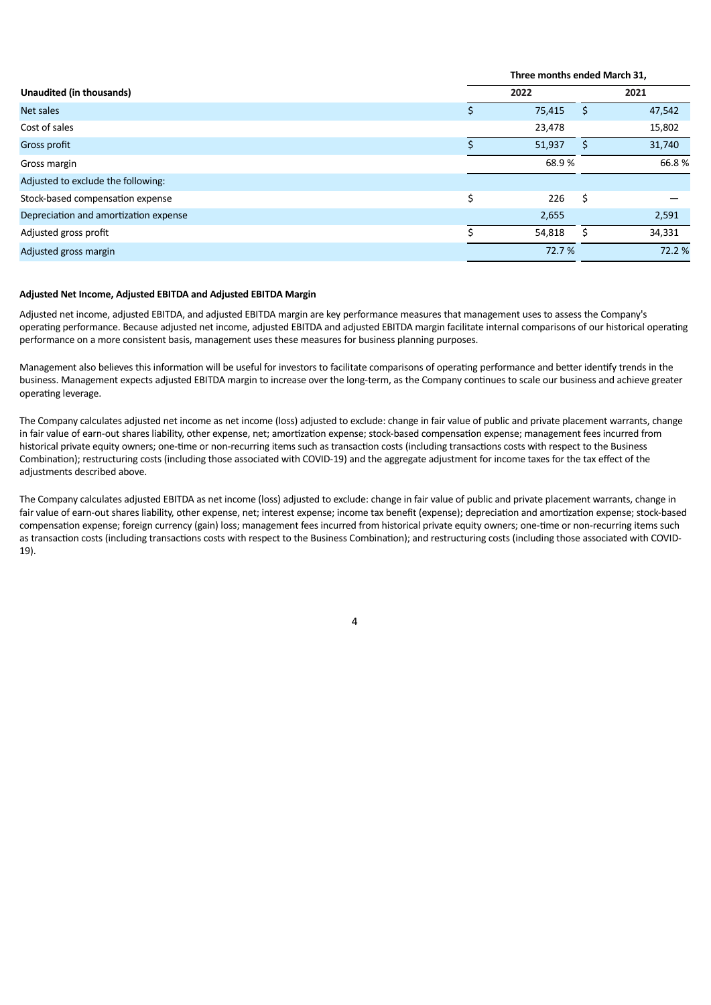|                                       |    | Three months ended March 31, |    |        |  |
|---------------------------------------|----|------------------------------|----|--------|--|
| Unaudited (in thousands)              |    | 2022                         |    | 2021   |  |
| Net sales                             |    | 75,415                       | S  | 47,542 |  |
| Cost of sales                         |    | 23,478                       |    | 15,802 |  |
| Gross profit                          |    | 51,937                       |    | 31,740 |  |
| Gross margin                          |    | 68.9%                        |    | 66.8%  |  |
| Adjusted to exclude the following:    |    |                              |    |        |  |
| Stock-based compensation expense      | \$ | 226                          | \$ |        |  |
| Depreciation and amortization expense |    | 2,655                        |    | 2,591  |  |
| Adjusted gross profit                 |    | 54,818                       |    | 34,331 |  |
| Adjusted gross margin                 |    | 72.7 %                       |    | 72.2 % |  |
|                                       |    |                              |    |        |  |

#### **Adjusted Net Income, Adjusted EBITDA and Adjusted EBITDA Margin**

Adjusted net income, adjusted EBITDA, and adjusted EBITDA margin are key performance measures that management uses to assess the Company's operating performance. Because adjusted net income, adjusted EBITDA and adjusted EBITDA margin facilitate internal comparisons of our historical operating performance on a more consistent basis, management uses these measures for business planning purposes.

Management also believes this information will be useful for investors to facilitate comparisons of operating performance and better identify trends in the business. Management expects adjusted EBITDA margin to increase over the long-term, as the Company continues to scale our business and achieve greater operating leverage.

The Company calculates adjusted net income as net income (loss) adjusted to exclude: change in fair value of public and private placement warrants, change in fair value of earn-out shares liability, other expense, net; amortization expense; stock-based compensation expense; management fees incurred from historical private equity owners; one-time or non-recurring items such as transaction costs (including transactions costs with respect to the Business Combination); restructuring costs (including those associated with COVID-19) and the aggregate adjustment for income taxes for the tax effect of the adjustments described above.

The Company calculates adjusted EBITDA as net income (loss) adjusted to exclude: change in fair value of public and private placement warrants, change in fair value of earn-out shares liability, other expense, net; interest expense; income tax benefit (expense); depreciation and amortization expense; stock-based compensation expense; foreign currency (gain) loss; management fees incurred from historical private equity owners; one-time or non-recurring items such as transaction costs (including transactions costs with respect to the Business Combination); and restructuring costs (including those associated with COVID-19).

4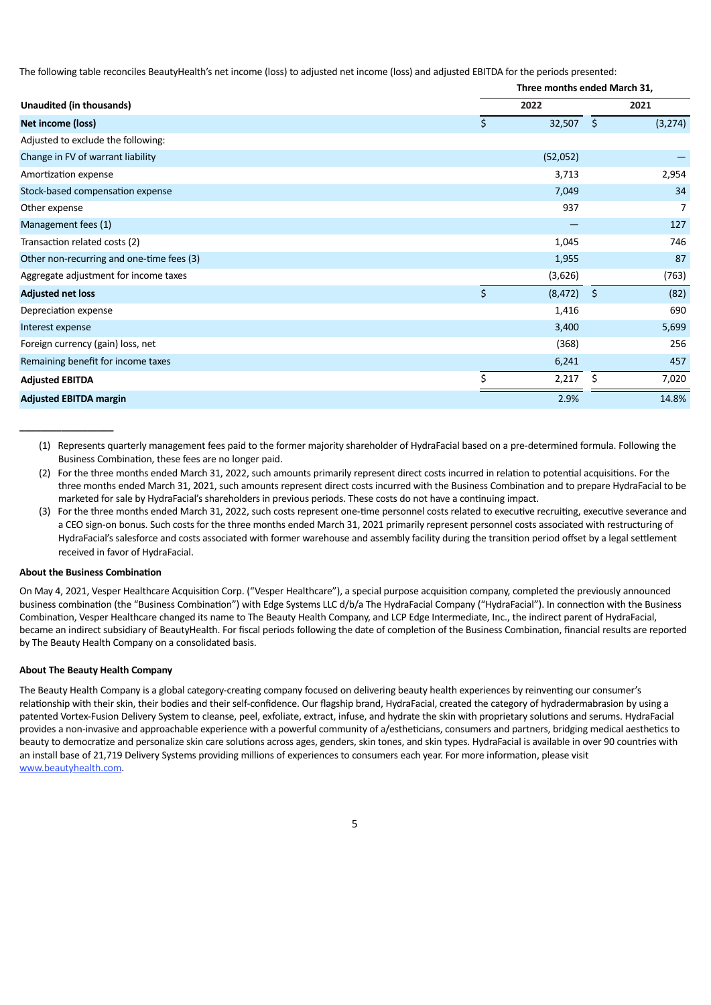The following table reconciles BeautyHealth's net income (loss) to adjusted net income (loss) and adjusted EBITDA for the periods presented:

|                                           |    | Three months ended March 31, |                     |         |  |
|-------------------------------------------|----|------------------------------|---------------------|---------|--|
| Unaudited (in thousands)                  |    | 2022                         |                     | 2021    |  |
| Net income (loss)                         | \$ | 32,507                       | $\ddot{\mathsf{s}}$ | (3,274) |  |
| Adjusted to exclude the following:        |    |                              |                     |         |  |
| Change in FV of warrant liability         |    | (52,052)                     |                     |         |  |
| Amortization expense                      |    | 3,713                        |                     | 2,954   |  |
| Stock-based compensation expense          |    | 7,049                        |                     | 34      |  |
| Other expense                             |    | 937                          |                     | 7       |  |
| Management fees (1)                       |    |                              |                     | 127     |  |
| Transaction related costs (2)             |    | 1,045                        |                     | 746     |  |
| Other non-recurring and one-time fees (3) |    | 1,955                        |                     | 87      |  |
| Aggregate adjustment for income taxes     |    | (3,626)                      |                     | (763)   |  |
| <b>Adjusted net loss</b>                  | \$ | (8, 472)                     | $\zeta$             | (82)    |  |
| Depreciation expense                      |    | 1,416                        |                     | 690     |  |
| Interest expense                          |    | 3,400                        |                     | 5,699   |  |
| Foreign currency (gain) loss, net         |    | (368)                        |                     | 256     |  |
| Remaining benefit for income taxes        |    | 6,241                        |                     | 457     |  |
| <b>Adjusted EBITDA</b>                    | \$ | 2,217                        | Ś                   | 7,020   |  |
| <b>Adjusted EBITDA margin</b>             |    | 2.9%                         |                     | 14.8%   |  |

(1) Represents quarterly management fees paid to the former majority shareholder of HydraFacial based on a pre-determined formula. Following the Business Combination, these fees are no longer paid.

- (2) For the three months ended March 31, 2022, such amounts primarily represent direct costs incurred in relation to potential acquisitions. For the three months ended March 31, 2021, such amounts represent direct costs incurred with the Business Combination and to prepare HydraFacial to be marketed for sale by HydraFacial's shareholders in previous periods. These costs do not have a continuing impact.
- (3) For the three months ended March 31, 2022, such costs represent one-time personnel costs related to executive recruiting, executive severance and a CEO sign-on bonus. Such costs for the three months ended March 31, 2021 primarily represent personnel costs associated with restructuring of HydraFacial's salesforce and costs associated with former warehouse and assembly facility during the transition period offset by a legal settlement received in favor of HydraFacial.

#### **About the Business Combination**

**\_\_\_\_\_\_\_\_\_\_\_\_\_\_\_\_\_\_**

On May 4, 2021, Vesper Healthcare Acquisition Corp. ("Vesper Healthcare"), a special purpose acquisition company, completed the previously announced business combination (the "Business Combination") with Edge Systems LLC d/b/a The HydraFacial Company ("HydraFacial"). In connection with the Business Combination, Vesper Healthcare changed its name to The Beauty Health Company, and LCP Edge Intermediate, Inc., the indirect parent of HydraFacial, became an indirect subsidiary of BeautyHealth. For fiscal periods following the date of completion of the Business Combination, financial results are reported by The Beauty Health Company on a consolidated basis.

#### **About The Beauty Health Company**

The Beauty Health Company is a global category-creating company focused on delivering beauty health experiences by reinventing our consumer's relationship with their skin, their bodies and their self-confidence. Our flagship brand, HydraFacial, created the category of hydradermabrasion by using a patented Vortex-Fusion Delivery System to cleanse, peel, exfoliate, extract, infuse, and hydrate the skin with proprietary solutions and serums. HydraFacial provides a non-invasive and approachable experience with a powerful community of a/estheticians, consumers and partners, bridging medical aesthetics to beauty to democratize and personalize skin care solutions across ages, genders, skin tones, and skin types. HydraFacial is available in over 90 countries with an install base of 21,719 Delivery Systems providing millions of experiences to consumers each year. For more information, please visit www.beautyhealth.com.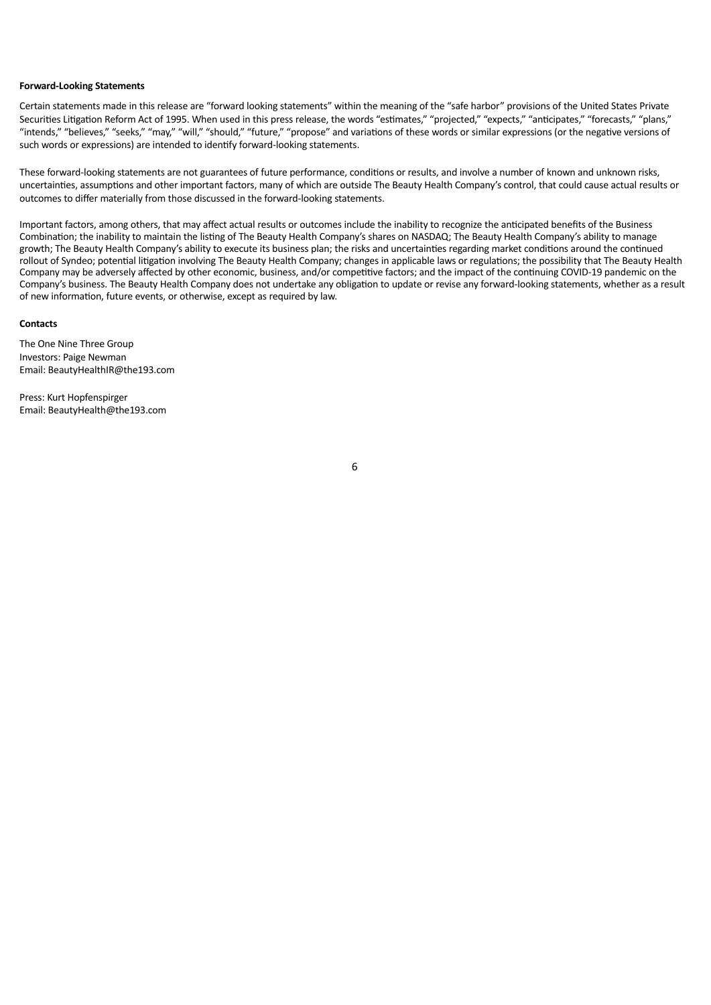#### **Forward-Looking Statements**

Certain statements made in this release are "forward looking statements" within the meaning of the "safe harbor" provisions of the United States Private Securities Litigation Reform Act of 1995. When used in this press release, the words "estimates," "projected," "expects," "anticipates," "forecasts," "plans," "intends," "believes," "seeks," "may," "will," "should," "future," "propose" and variations of these words or similar expressions (or the negative versions of such words or expressions) are intended to identify forward-looking statements.

These forward-looking statements are not guarantees of future performance, conditions or results, and involve a number of known and unknown risks, uncertainties, assumptions and other important factors, many of which are outside The Beauty Health Company's control, that could cause actual results or outcomes to differ materially from those discussed in the forward-looking statements.

Important factors, among others, that may affect actual results or outcomes include the inability to recognize the anticipated benefits of the Business Combination; the inability to maintain the listing of The Beauty Health Company's shares on NASDAQ; The Beauty Health Company's ability to manage growth; The Beauty Health Company's ability to execute its business plan; the risks and uncertainties regarding market conditions around the continued rollout of Syndeo; potential litigation involving The Beauty Health Company; changes in applicable laws or regulations; the possibility that The Beauty Health Company may be adversely affected by other economic, business, and/or competitive factors; and the impact of the continuing COVID-19 pandemic on the Company's business. The Beauty Health Company does not undertake any obligation to update or revise any forward-looking statements, whether as a result of new information, future events, or otherwise, except as required by law.

#### **Contacts**

The One Nine Three Group Investors: Paige Newman Email: BeautyHealthIR@the193.com

Press: Kurt Hopfenspirger Email: BeautyHealth@the193.com

6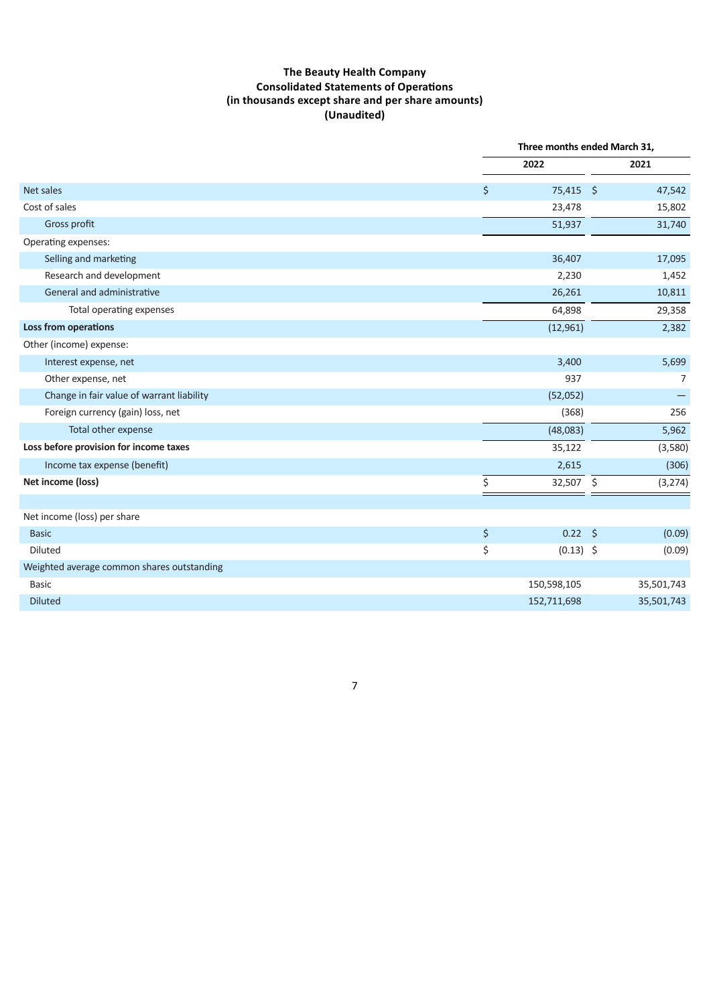# **The Beauty Health Company Consolidated Statements of Operations (in thousands except share and per share amounts) (Unaudited)**

|                                            |             | Three months ended March 31, |            |
|--------------------------------------------|-------------|------------------------------|------------|
|                                            | 2022        |                              | 2021       |
| Net sales                                  | \$          | 75,415 \$                    | 47,542     |
| Cost of sales                              | 23,478      |                              | 15,802     |
| Gross profit                               | 51,937      |                              | 31,740     |
| Operating expenses:                        |             |                              |            |
| Selling and marketing                      | 36,407      |                              | 17,095     |
| Research and development                   | 2,230       |                              | 1,452      |
| General and administrative                 | 26,261      |                              | 10,811     |
| Total operating expenses                   | 64,898      |                              | 29,358     |
| <b>Loss from operations</b>                | (12,961)    |                              | 2,382      |
| Other (income) expense:                    |             |                              |            |
| Interest expense, net                      | 3,400       |                              | 5,699      |
| Other expense, net                         |             | 937                          | 7          |
| Change in fair value of warrant liability  | (52,052)    |                              |            |
| Foreign currency (gain) loss, net          |             | (368)                        | 256        |
| Total other expense                        | (48,083)    |                              | 5,962      |
| Loss before provision for income taxes     | 35,122      |                              | (3,580)    |
| Income tax expense (benefit)               | 2,615       |                              | (306)      |
| Net income (loss)                          | \$          | 32,507 \$                    | (3, 274)   |
|                                            |             |                              |            |
| Net income (loss) per share                |             |                              |            |
| <b>Basic</b>                               | \$          | $0.22$ \$                    | (0.09)     |
| Diluted                                    | \$          | $(0.13)$ \$                  | (0.09)     |
| Weighted average common shares outstanding |             |                              |            |
| <b>Basic</b>                               | 150,598,105 |                              | 35,501,743 |
| <b>Diluted</b>                             | 152,711,698 |                              | 35,501,743 |